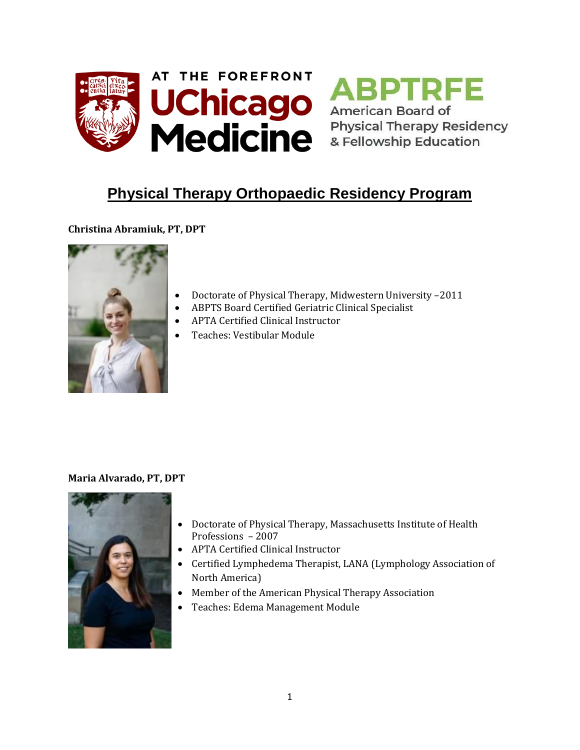



# **Physical Therapy Orthopaedic Residency Program**

## **Christina Abramiuk, PT, DPT**



- Doctorate of Physical Therapy, Midwestern University –2011
- ABPTS Board Certified Geriatric Clinical Specialist
- APTA Certified Clinical Instructor
- Teaches: Vestibular Module

## **Maria Alvarado, PT, DPT**



- Doctorate of Physical Therapy, Massachusetts Institute of Health Professions – 2007
- APTA Certified Clinical Instructor
- Certified Lymphedema Therapist, LANA (Lymphology Association of North America)
- Member of the American Physical Therapy Association
- Teaches: Edema Management Module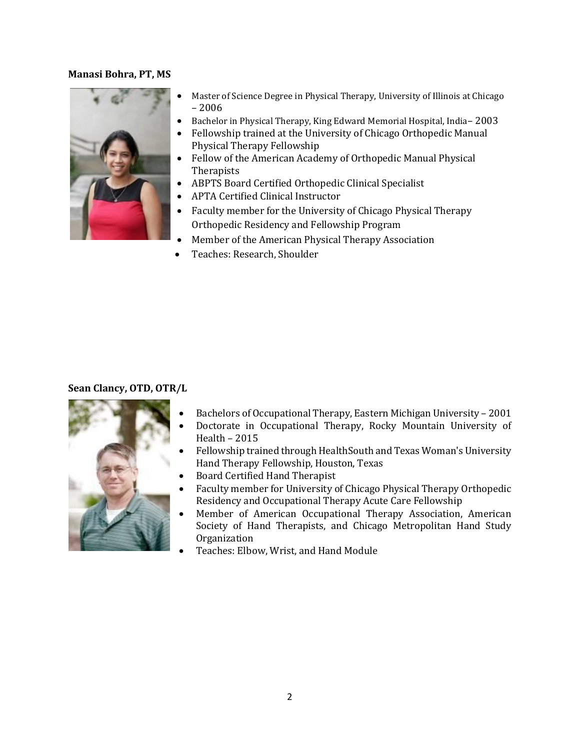#### **Manasi Bohra, PT, MS**



- Master of Science Degree in Physical Therapy, University of Illinois at Chicago – 2006
- Bachelor in Physical Therapy, King Edward Memorial Hospital, India– 2003
- Fellowship trained at the University of Chicago Orthopedic Manual Physical Therapy Fellowship
- Fellow of the American Academy of Orthopedic Manual Physical **Therapists**
- ABPTS Board Certified Orthopedic Clinical Specialist
- APTA Certified Clinical Instructor
- Faculty member for the University of Chicago Physical Therapy Orthopedic Residency and Fellowship Program
- Member of the American Physical Therapy Association
- Teaches: Research, Shoulder

## **Sean Clancy, OTD, OTR/L**



- Bachelors of Occupational Therapy, Eastern Michigan University 2001
- Doctorate in Occupational Therapy, Rocky Mountain University of Health – 2015
- Fellowship trained through HealthSouth and Texas Woman's University Hand Therapy Fellowship, Houston, Texas
- Board Certified Hand Therapist
- Faculty member for University of Chicago Physical Therapy Orthopedic Residency and Occupational Therapy Acute Care Fellowship
- Member of American Occupational Therapy Association, American Society of Hand Therapists, and Chicago Metropolitan Hand Study Organization
- Teaches: Elbow, Wrist, and Hand Module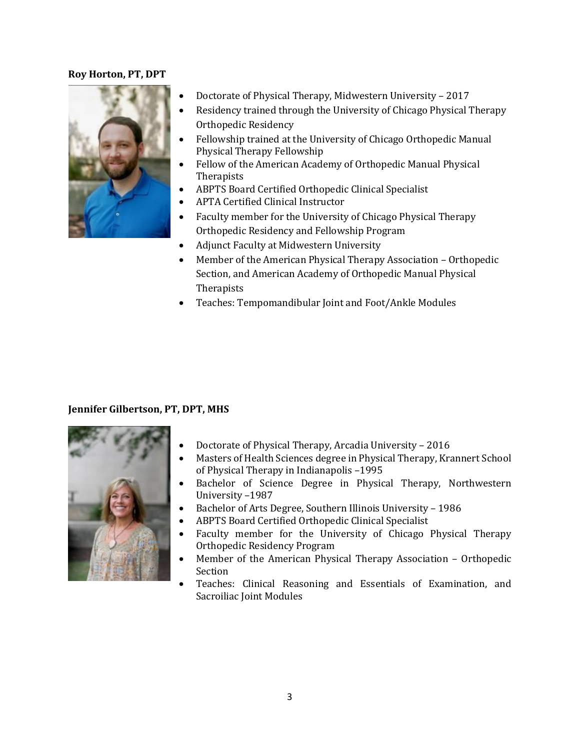#### **Roy Horton, PT, DPT**



- Doctorate of Physical Therapy, Midwestern University 2017
- Residency trained through the University of Chicago Physical Therapy Orthopedic Residency
- Fellowship trained at the University of Chicago Orthopedic Manual Physical Therapy Fellowship
- Fellow of the American Academy of Orthopedic Manual Physical **Therapists**
- ABPTS Board Certified Orthopedic Clinical Specialist
- APTA Certified Clinical Instructor
- Faculty member for the University of Chicago Physical Therapy Orthopedic Residency and Fellowship Program
- Adjunct Faculty at Midwestern University
- Member of the American Physical Therapy Association Orthopedic Section, and American Academy of Orthopedic Manual Physical Therapists
- Teaches: Tempomandibular Joint and Foot/Ankle Modules

## **Jennifer Gilbertson, PT, DPT, MHS**



- Doctorate of Physical Therapy, Arcadia University 2016
- Masters of Health Sciences degree in Physical Therapy, Krannert School of Physical Therapy in Indianapolis –1995
- Bachelor of Science Degree in Physical Therapy, Northwestern University –1987
- Bachelor of Arts Degree, Southern Illinois University 1986
- ABPTS Board Certified Orthopedic Clinical Specialist
- Faculty member for the University of Chicago Physical Therapy Orthopedic Residency Program
- Member of the American Physical Therapy Association Orthopedic Section
- Teaches: Clinical Reasoning and Essentials of Examination, and Sacroiliac Joint Modules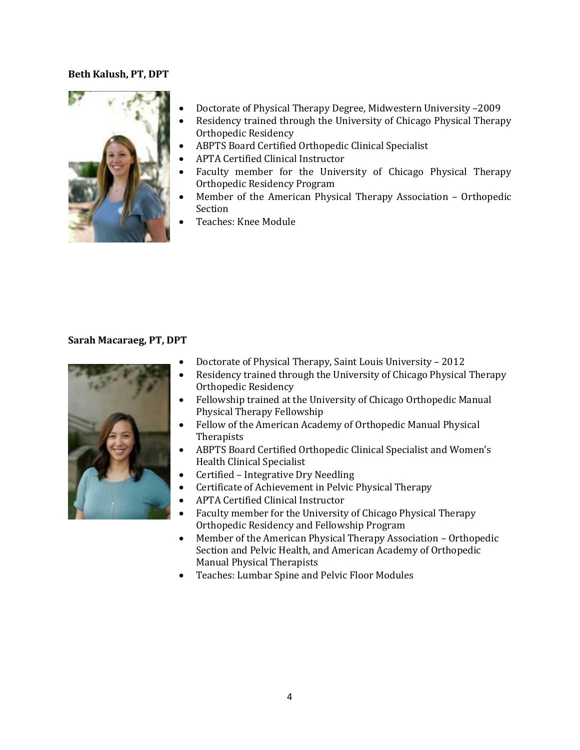#### **Beth Kalush, PT, DPT**



- Doctorate of Physical Therapy Degree, Midwestern University –2009
- Residency trained through the University of Chicago Physical Therapy Orthopedic Residency
- ABPTS Board Certified Orthopedic Clinical Specialist
- APTA Certified Clinical Instructor
- Faculty member for the University of Chicago Physical Therapy Orthopedic Residency Program
- Member of the American Physical Therapy Association Orthopedic Section
- Teaches: Knee Module

#### **Sarah Macaraeg, PT, DPT**



- Doctorate of Physical Therapy, Saint Louis University 2012
- Residency trained through the University of Chicago Physical Therapy Orthopedic Residency
- Fellowship trained at the University of Chicago Orthopedic Manual Physical Therapy Fellowship
- Fellow of the American Academy of Orthopedic Manual Physical **Therapists**
- ABPTS Board Certified Orthopedic Clinical Specialist and Women's Health Clinical Specialist
- Certified Integrative Dry Needling
- Certificate of Achievement in Pelvic Physical Therapy
- APTA Certified Clinical Instructor
- Faculty member for the University of Chicago Physical Therapy Orthopedic Residency and Fellowship Program
- Member of the American Physical Therapy Association Orthopedic Section and Pelvic Health, and American Academy of Orthopedic Manual Physical Therapists
- Teaches: Lumbar Spine and Pelvic Floor Modules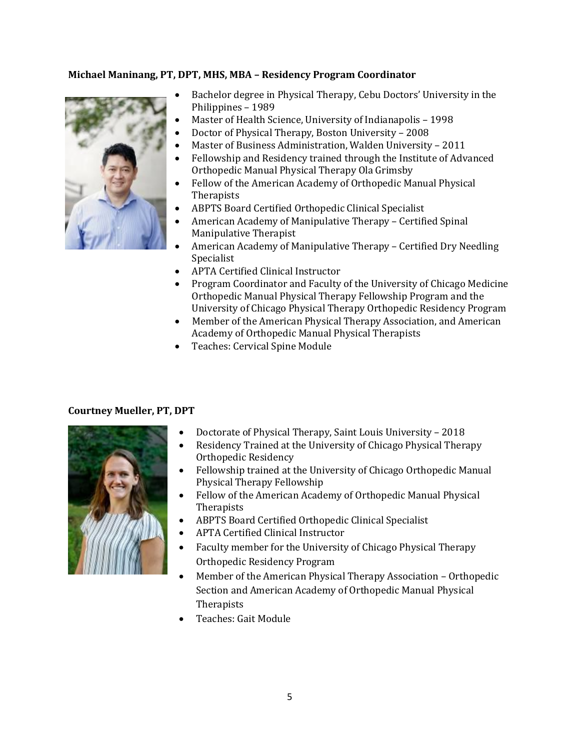## **Michael Maninang, PT, DPT, MHS, MBA – Residency Program Coordinator**



- Bachelor degree in Physical Therapy, Cebu Doctors' University in the Philippines – 1989
- Master of Health Science, University of Indianapolis 1998
- Doctor of Physical Therapy, Boston University 2008
- Master of Business Administration, Walden University 2011
- Fellowship and Residency trained through the Institute of Advanced Orthopedic Manual Physical Therapy Ola Grimsby
- Fellow of the American Academy of Orthopedic Manual Physical **Therapists**
- ABPTS Board Certified Orthopedic Clinical Specialist
- American Academy of Manipulative Therapy Certified Spinal Manipulative Therapist
- American Academy of Manipulative Therapy Certified Dry Needling Specialist
- APTA Certified Clinical Instructor
- Program Coordinator and Faculty of the University of Chicago Medicine Orthopedic Manual Physical Therapy Fellowship Program and the University of Chicago Physical Therapy Orthopedic Residency Program
- Member of the American Physical Therapy Association, and American Academy of Orthopedic Manual Physical Therapists
- Teaches: Cervical Spine Module

## **Courtney Mueller, PT, DPT**



- Doctorate of Physical Therapy, Saint Louis University 2018
- Residency Trained at the University of Chicago Physical Therapy Orthopedic Residency
- Fellowship trained at the University of Chicago Orthopedic Manual Physical Therapy Fellowship
- Fellow of the American Academy of Orthopedic Manual Physical **Therapists**
- ABPTS Board Certified Orthopedic Clinical Specialist
- APTA Certified Clinical Instructor
- Faculty member for the University of Chicago Physical Therapy Orthopedic Residency Program
- Member of the American Physical Therapy Association Orthopedic Section and American Academy of Orthopedic Manual Physical Therapists
- Teaches: Gait Module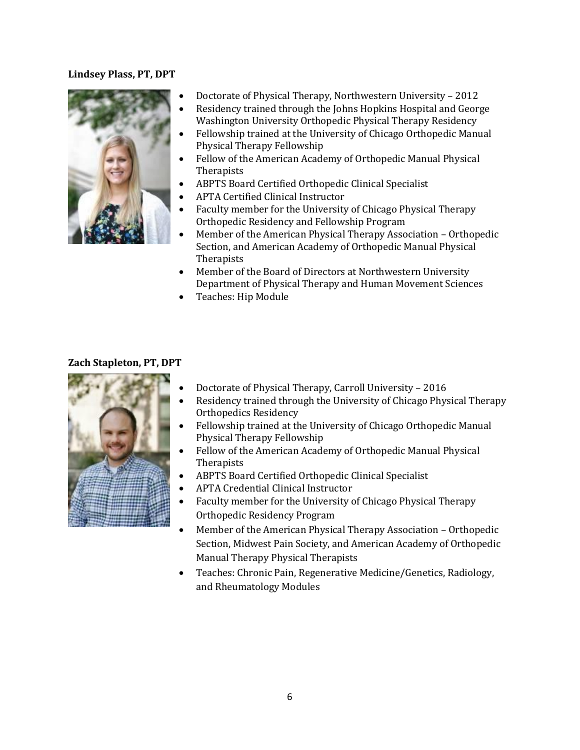## **Lindsey Plass, PT, DPT**



- Doctorate of Physical Therapy, Northwestern University 2012
- Residency trained through the Johns Hopkins Hospital and George Washington University Orthopedic Physical Therapy Residency
- Fellowship trained at the University of Chicago Orthopedic Manual Physical Therapy Fellowship
- Fellow of the American Academy of Orthopedic Manual Physical Therapists
- ABPTS Board Certified Orthopedic Clinical Specialist
- APTA Certified Clinical Instructor
- Faculty member for the University of Chicago Physical Therapy Orthopedic Residency and Fellowship Program
- Member of the American Physical Therapy Association Orthopedic Section, and American Academy of Orthopedic Manual Physical **Therapists**
- Member of the Board of Directors at Northwestern University Department of Physical Therapy and Human Movement Sciences
- Teaches: Hip Module

## **Zach Stapleton, PT, DPT**



- Doctorate of Physical Therapy, Carroll University 2016
- Residency trained through the University of Chicago Physical Therapy Orthopedics Residency
- Fellowship trained at the University of Chicago Orthopedic Manual Physical Therapy Fellowship
- Fellow of the American Academy of Orthopedic Manual Physical Therapists
- ABPTS Board Certified Orthopedic Clinical Specialist
- APTA Credential Clinical Instructor
- Faculty member for the University of Chicago Physical Therapy Orthopedic Residency Program
- Member of the American Physical Therapy Association Orthopedic Section, Midwest Pain Society, and American Academy of Orthopedic Manual Therapy Physical Therapists
- Teaches: Chronic Pain, Regenerative Medicine/Genetics, Radiology, and Rheumatology Modules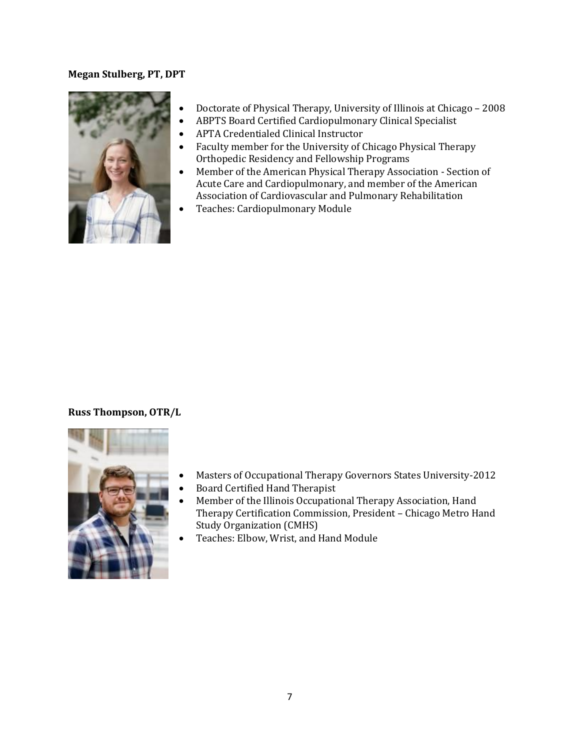#### **Megan Stulberg, PT, DPT**



- Doctorate of Physical Therapy, University of Illinois at Chicago 2008
- ABPTS Board Certified Cardiopulmonary Clinical Specialist
- APTA Credentialed Clinical Instructor
- Faculty member for the University of Chicago Physical Therapy Orthopedic Residency and Fellowship Programs
- Member of the American Physical Therapy Association Section of Acute Care and Cardiopulmonary, and member of the American Association of Cardiovascular and Pulmonary Rehabilitation
- Teaches: Cardiopulmonary Module

## **Russ Thompson, OTR/L**



- Masters of Occupational Therapy Governors States University-2012
- Board Certified Hand Therapist
- Member of the Illinois Occupational Therapy Association, Hand Therapy Certification Commission, President – Chicago Metro Hand Study Organization (CMHS)
- Teaches: Elbow, Wrist, and Hand Module